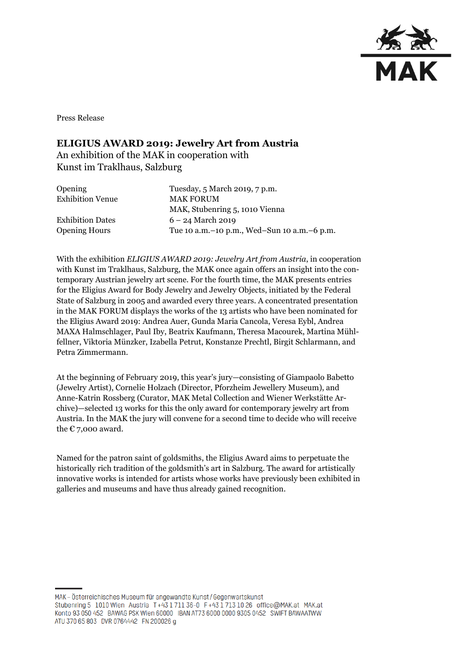

Press Release

## **ELIGIUS AWARD 2019: Jewelry Art from Austria**

An exhibition of the MAK in cooperation with Kunst im Traklhaus, Salzburg

| Opening                 | Tuesday, 5 March 2019, 7 p.m.                   |
|-------------------------|-------------------------------------------------|
| <b>Exhibition Venue</b> | <b>MAK FORUM</b>                                |
|                         | MAK, Stubenring 5, 1010 Vienna                  |
| <b>Exhibition Dates</b> | $6 - 24$ March 2019                             |
| <b>Opening Hours</b>    | Tue 10 a.m. – 10 p.m., Wed–Sun 10 a.m. – 6 p.m. |
|                         |                                                 |

With the exhibition *ELIGIUS AWARD 2019: Jewelry Art from Austria*, in cooperation with Kunst im Traklhaus, Salzburg, the MAK once again offers an insight into the contemporary Austrian jewelry art scene. For the fourth time, the MAK presents entries for the Eligius Award for Body Jewelry and Jewelry Objects, initiated by the Federal State of Salzburg in 2005 and awarded every three years. A concentrated presentation in the MAK FORUM displays the works of the 13 artists who have been nominated for the Eligius Award 2019: Andrea Auer, Gunda Maria Cancola, Veresa Eybl, Andrea MAXA Halmschlager, Paul Iby, Beatrix Kaufmann, Theresa Macourek, Martina Mühlfellner, Viktoria Münzker, Izabella Petrut, Konstanze Prechtl, Birgit Schlarmann, and Petra Zimmermann.

At the beginning of February 2019, this year's jury—consisting of Giampaolo Babetto (Jewelry Artist), Cornelie Holzach (Director, Pforzheim Jewellery Museum), and Anne-Katrin Rossberg (Curator, MAK Metal Collection and Wiener Werkstätte Archive)—selected 13 works for this the only award for contemporary jewelry art from Austria. In the MAK the jury will convene for a second time to decide who will receive the  $\varepsilon$  7,000 award.

Named for the patron saint of goldsmiths, the Eligius Award aims to perpetuate the historically rich tradition of the goldsmith's art in Salzburg. The award for artistically innovative works is intended for artists whose works have previously been exhibited in galleries and museums and have thus already gained recognition.

MAK-Österreichisches Museum für angewandte Kunst/Gegenwartskunst Stubenring 5 1010 Wien Austria T+43 1 711 36-0 F+43 1 713 10 26 office@MAK.at MAK.at Konto 93 050 452 BAWAG PSK Wien 60000 IBAN AT73 6000 0000 9305 0452 SWIFT BAWAATWW ATU 370 65 803 DVR 0764442 FN 200026 g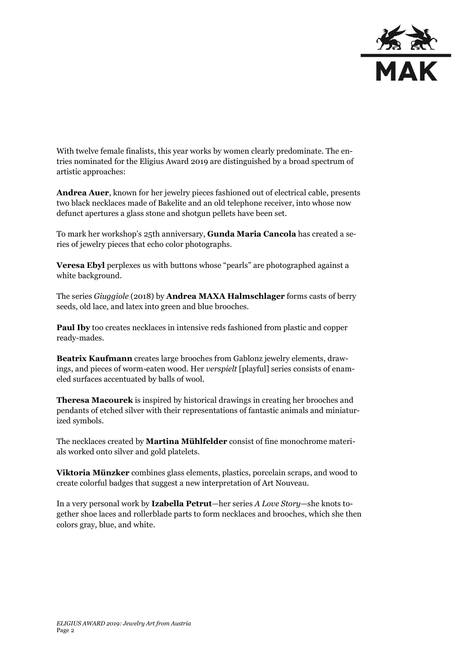

With twelve female finalists, this year works by women clearly predominate. The entries nominated for the Eligius Award 2019 are distinguished by a broad spectrum of artistic approaches:

**Andrea Auer**, known for her jewelry pieces fashioned out of electrical cable, presents two black necklaces made of Bakelite and an old telephone receiver, into whose now defunct apertures a glass stone and shotgun pellets have been set.

To mark her workshop's 25th anniversary, **Gunda Maria Cancola** has created a series of jewelry pieces that echo color photographs.

**Veresa Ebyl** perplexes us with buttons whose "pearls" are photographed against a white background.

The series *Giuggiole* (2018) by **Andrea MAXA Halmschlager** forms casts of berry seeds, old lace, and latex into green and blue brooches.

**Paul Iby** too creates necklaces in intensive reds fashioned from plastic and copper ready-mades.

**Beatrix Kaufmann** creates large brooches from Gablonz jewelry elements, drawings, and pieces of worm-eaten wood. Her *verspielt* [playful] series consists of enameled surfaces accentuated by balls of wool.

**Theresa Macourek** is inspired by historical drawings in creating her brooches and pendants of etched silver with their representations of fantastic animals and miniaturized symbols.

The necklaces created by **Martina Mühlfelder** consist of fine monochrome materials worked onto silver and gold platelets.

**Viktoria Münzker** combines glass elements, plastics, porcelain scraps, and wood to create colorful badges that suggest a new interpretation of Art Nouveau.

In a very personal work by **Izabella Petrut**—her series *A Love Story*—she knots together shoe laces and rollerblade parts to form necklaces and brooches, which she then colors gray, blue, and white.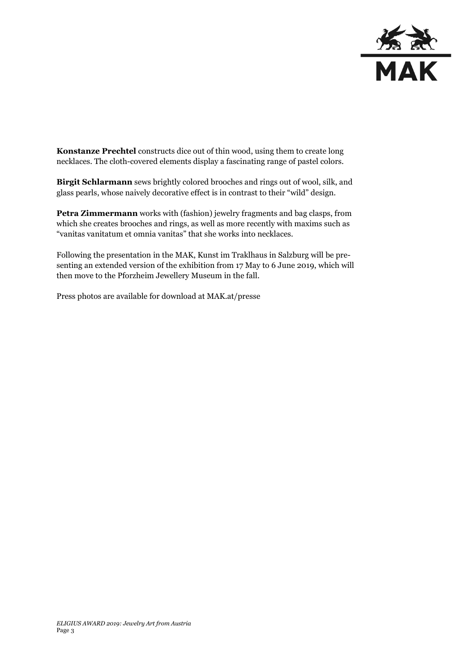

**Konstanze Prechtel** constructs dice out of thin wood, using them to create long necklaces. The cloth-covered elements display a fascinating range of pastel colors.

**Birgit Schlarmann** sews brightly colored brooches and rings out of wool, silk, and glass pearls, whose naively decorative effect is in contrast to their "wild" design.

**Petra Zimmermann** works with (fashion) jewelry fragments and bag clasps, from which she creates brooches and rings, as well as more recently with maxims such as "vanitas vanitatum et omnia vanitas" that she works into necklaces.

Following the presentation in the MAK, Kunst im Traklhaus in Salzburg will be presenting an extended version of the exhibition from 17 May to 6 June 2019, which will then move to the Pforzheim Jewellery Museum in the fall.

Press photos are available for download at MAK.at/presse